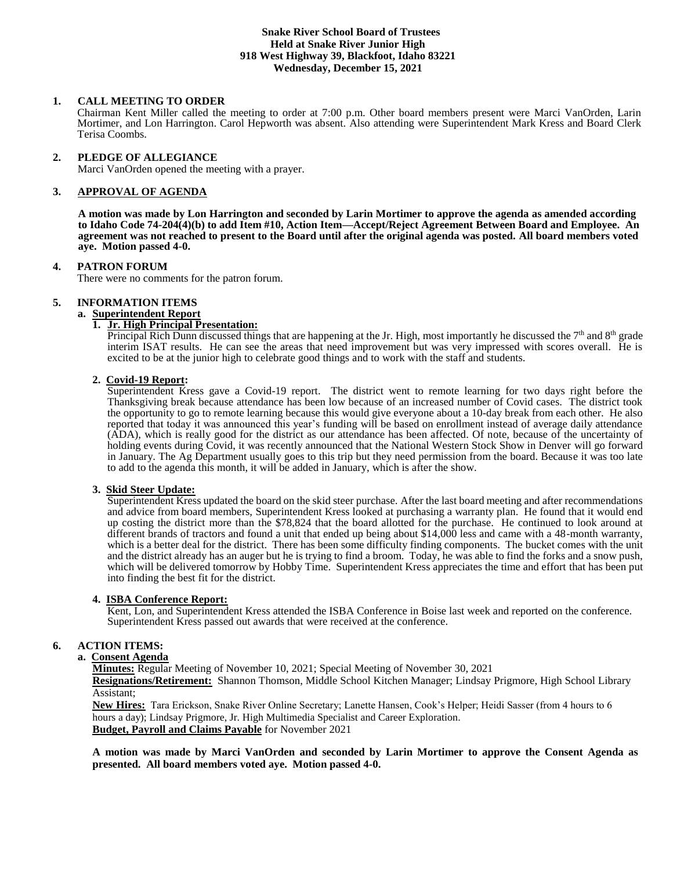## **Snake River School Board of Trustees Held at Snake River Junior High 918 West Highway 39, Blackfoot, Idaho 83221 Wednesday, December 15, 2021**

## **1. CALL MEETING TO ORDER**

Chairman Kent Miller called the meeting to order at 7:00 p.m. Other board members present were Marci VanOrden, Larin Mortimer, and Lon Harrington. Carol Hepworth was absent. Also attending were Superintendent Mark Kress and Board Clerk Terisa Coombs.

#### **2. PLEDGE OF ALLEGIANCE**

Marci VanOrden opened the meeting with a prayer.

### **3. APPROVAL OF AGENDA**

**A motion was made by Lon Harrington and seconded by Larin Mortimer to approve the agenda as amended according to Idaho Code 74-204(4)(b) to add Item #10, Action Item—Accept/Reject Agreement Between Board and Employee. An agreement was not reached to present to the Board until after the original agenda was posted. All board members voted aye. Motion passed 4-0.**

#### **4. PATRON FORUM**

There were no comments for the patron forum.

#### **5. INFORMATION ITEMS**

## **a. Superintendent Report**

#### **1. Jr. High Principal Presentation:**

Principal Rich Dunn discussed things that are happening at the Jr. High, most importantly he discussed the 7<sup>th</sup> and 8<sup>th</sup> grade interim ISAT results. He can see the areas that need improvement but was very impressed with scores overall. He is excited to be at the junior high to celebrate good things and to work with the staff and students.

#### **2. Covid-19 Report:**

Superintendent Kress gave a Covid-19 report. The district went to remote learning for two days right before the Thanksgiving break because attendance has been low because of an increased number of Covid cases. The district took the opportunity to go to remote learning because this would give everyone about a 10-day break from each other. He also reported that today it was announced this year's funding will be based on enrollment instead of average daily attendance (ADA), which is really good for the district as our attendance has been affected. Of note, because of the uncertainty of holding events during Covid, it was recently announced that the National Western Stock Show in Denver will go forward in January. The Ag Department usually goes to this trip but they need permission from the board. Because it was too late to add to the agenda this month, it will be added in January, which is after the show.

#### **3. Skid Steer Update:**

Superintendent Kress updated the board on the skid steer purchase. After the last board meeting and after recommendations and advice from board members, Superintendent Kress looked at purchasing a warranty plan. He found that it would end up costing the district more than the \$78,824 that the board allotted for the purchase. He continued to look around at different brands of tractors and found a unit that ended up being about \$14,000 less and came with a 48-month warranty, which is a better deal for the district. There has been some difficulty finding components. The bucket comes with the unit and the district already has an auger but he is trying to find a broom. Today, he was able to find the forks and a snow push, which will be delivered tomorrow by Hobby Time. Superintendent Kress appreciates the time and effort that has been put into finding the best fit for the district.

## **4. ISBA Conference Report:**

Kent, Lon, and Superintendent Kress attended the ISBA Conference in Boise last week and reported on the conference. Superintendent Kress passed out awards that were received at the conference.

## **6. ACTION ITEMS:**

## **a. Consent Agenda**

**Minutes:** Regular Meeting of November 10, 2021; Special Meeting of November 30, 2021 **Resignations/Retirement:** Shannon Thomson, Middle School Kitchen Manager; Lindsay Prigmore, High School Library Assistant;

**New Hires:** Tara Erickson, Snake River Online Secretary; Lanette Hansen, Cook's Helper; Heidi Sasser (from 4 hours to 6 hours a day); Lindsay Prigmore, Jr. High Multimedia Specialist and Career Exploration. **Budget, Payroll and Claims Payable** for November 2021

**A motion was made by Marci VanOrden and seconded by Larin Mortimer to approve the Consent Agenda as presented. All board members voted aye. Motion passed 4-0.**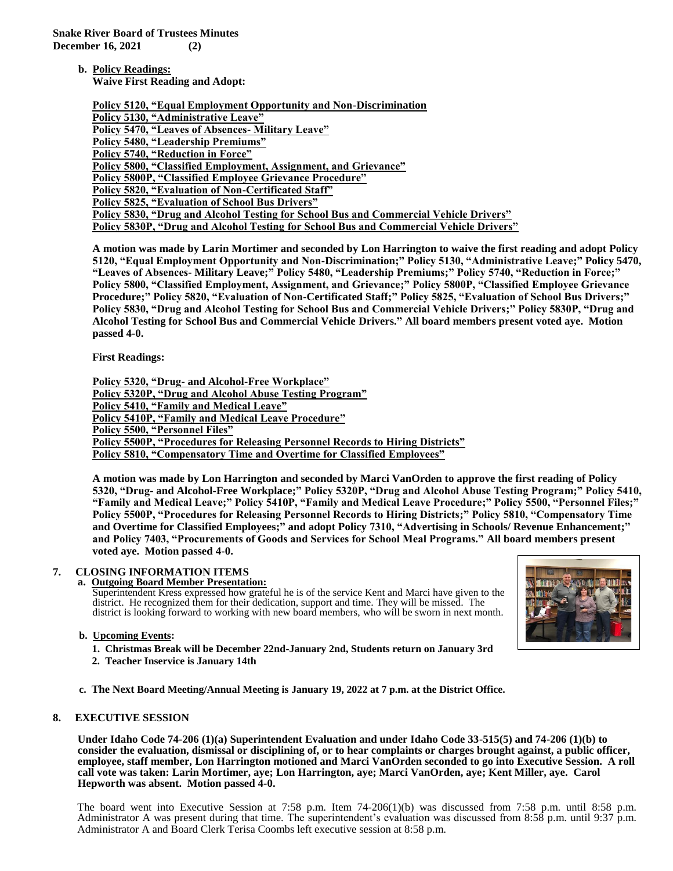**Snake River Board of Trustees Minutes December 16, 2021 (2)**

 **b. Policy Readings:** 

**Waive First Reading and Adopt:**

| <b>Policy 5120, "Equal Employment Opportunity and Non-Discrimination</b>               |
|----------------------------------------------------------------------------------------|
| Policy 5130, "Administrative Leave"                                                    |
| Policy 5470, "Leaves of Absences-Military Leave"                                       |
| <b>Policy 5480, "Leadership Premiums"</b>                                              |
| Policy 5740, "Reduction in Force"                                                      |
| Policy 5800, "Classified Employment, Assignment, and Grievance"                        |
| <b>Policy 5800P, "Classified Employee Grievance Procedure"</b>                         |
| Policy 5820, "Evaluation of Non-Certificated Staff"                                    |
| <b>Policy 5825, "Evaluation of School Bus Drivers"</b>                                 |
| Policy 5830, "Drug and Alcohol Testing for School Bus and Commercial Vehicle Drivers"  |
| Policy 5830P, "Drug and Alcohol Testing for School Bus and Commercial Vehicle Drivers" |

**A motion was made by Larin Mortimer and seconded by Lon Harrington to waive the first reading and adopt Policy 5120, "Equal Employment Opportunity and Non-Discrimination;" Policy 5130, "Administrative Leave;" Policy 5470, "Leaves of Absences- Military Leave;" Policy 5480, "Leadership Premiums;" Policy 5740, "Reduction in Force;" Policy 5800, "Classified Employment, Assignment, and Grievance;" Policy 5800P, "Classified Employee Grievance Procedure;" Policy 5820, "Evaluation of Non-Certificated Staff;" Policy 5825, "Evaluation of School Bus Drivers;" Policy 5830, "Drug and Alcohol Testing for School Bus and Commercial Vehicle Drivers;" Policy 5830P, "Drug and Alcohol Testing for School Bus and Commercial Vehicle Drivers." All board members present voted aye. Motion passed 4-0.**

**First Readings:**

**Policy 5320, "Drug- and Alcohol-Free Workplace" Policy 5320P, "Drug and Alcohol Abuse Testing Program" Policy 5410, "Family and Medical Leave" Policy 5410P, "Family and Medical Leave Procedure" Policy 5500, "Personnel Files" Policy 5500P, "Procedures for Releasing Personnel Records to Hiring Districts" Policy 5810, "Compensatory Time and Overtime for Classified Employees"**

**A motion was made by Lon Harrington and seconded by Marci VanOrden to approve the first reading of Policy 5320, "Drug- and Alcohol-Free Workplace;" Policy 5320P, "Drug and Alcohol Abuse Testing Program;" Policy 5410, "Family and Medical Leave;" Policy 5410P, "Family and Medical Leave Procedure;" Policy 5500, "Personnel Files;" Policy 5500P, "Procedures for Releasing Personnel Records to Hiring Districts;" Policy 5810, "Compensatory Time and Overtime for Classified Employees;" and adopt Policy 7310, "Advertising in Schools/ Revenue Enhancement;" and Policy 7403, "Procurements of Goods and Services for School Meal Programs." All board members present voted aye. Motion passed 4-0.**

## **7. CLOSING INFORMATION ITEMS**

**a. Outgoing Board Member Presentation:** 

Superintendent Kress expressed how grateful he is of the service Kent and Marci have given to the district. He recognized them for their dedication, support and time. They will be missed. The district is looking forward to working with new board members, who will be sworn in next month.

- **b. Upcoming Events:**
	- **1. Christmas Break will be December 22nd-January 2nd, Students return on January 3rd**
	- **2. Teacher Inservice is January 14th**
- **c. The Next Board Meeting/Annual Meeting is January 19, 2022 at 7 p.m. at the District Office.**

## **8. EXECUTIVE SESSION**

**Under Idaho Code 74-206 (1)(a) Superintendent Evaluation and under Idaho Code 33-515(5) and 74-206 (1)(b) to consider the evaluation, dismissal or disciplining of, or to hear complaints or charges brought against, a public officer, employee, staff member, Lon Harrington motioned and Marci VanOrden seconded to go into Executive Session. A roll call vote was taken: Larin Mortimer, aye; Lon Harrington, aye; Marci VanOrden, aye; Kent Miller, aye. Carol Hepworth was absent. Motion passed 4-0.** 

The board went into Executive Session at 7:58 p.m. Item 74-206(1)(b) was discussed from 7:58 p.m. until 8:58 p.m. Administrator A was present during that time. The superintendent's evaluation was discussed from 8:58 p.m. until 9:37 p.m. Administrator A and Board Clerk Terisa Coombs left executive session at 8:58 p.m.